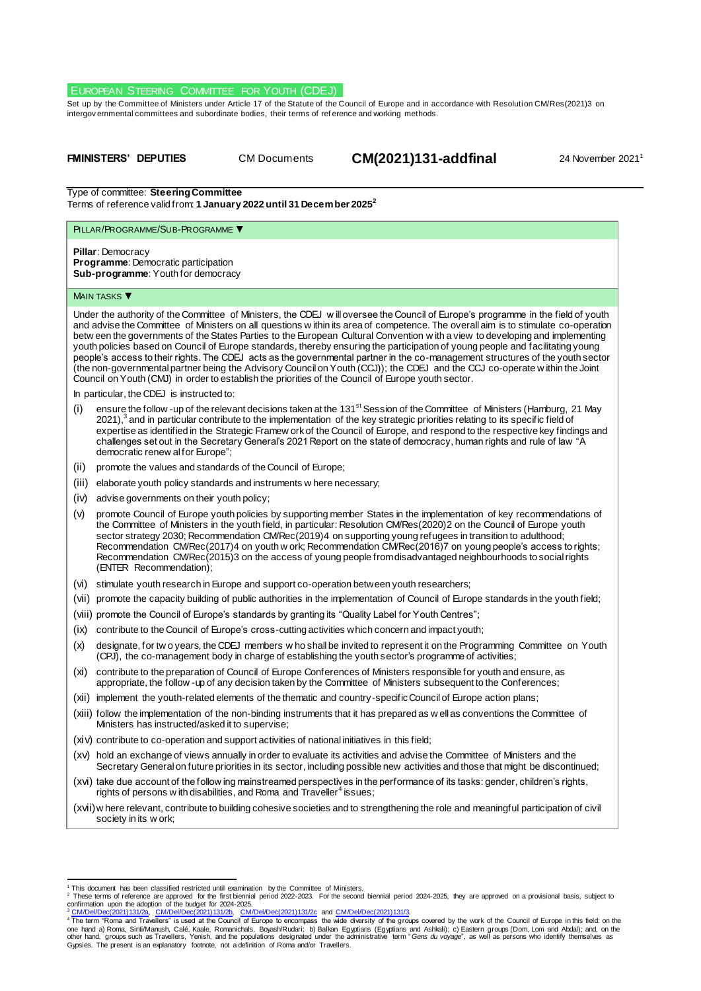# EUROPEAN STEERING COMMITTEE FOR YOUTH (CDEJ)

Set up by the Committee of Ministers under Article 17 of the Statute of the Council of Europe and in accordance with Resolutio[n CM/Res\(2021\)3](https://search.coe.int/cm/Pages/result_details.aspx?Reference=CM/Res(2011)24) on intergov ernmental committees and subordinate bodies, their terms of ref erence and working methods.

**FMINISTERS' DEPUTIES** CM Documents **CM(2021)131-addfinal** 24 November 2021<sup>1</sup>

Type of committee: **Steering Committee** Terms of reference valid from: **1 January 2022 until 31 December 2025<sup>2</sup>**

# PILLAR/PROGRAMME/SUB-PROGRAMME ▼

**Pillar**: Democracy **Programme**: Democratic participation **Sub-programme**: Youth for democracy

#### MAIN TASKS

Under the authority of the Committee of Ministers, the CDEJ w ill oversee the Council of Europe's programme in the field of youth and advise the Committee of Ministers on all questions w ithin its area of competence. The overall aim is to stimulate co-operation betw een the governments of the States Parties to the European Cultural Convention w ith a view to developing and implementing youth policies based on Council of Europe standards, thereby ensuring the participation of young people and facilitating young people's access to their rights. The CDEJ acts as the governmental partner in the co-management structures of the youth sector (the non-governmental partner being the Advisory Council on Youth (CCJ)); the CDEJ and the CCJ co-operate w ithin the Joint Council on Youth (CMJ) in order to establish the priorities of the Council of Europe youth sector.

In particular, the CDEJ is instructed to:

- ensure the follow -up of the relevant decisions taken at the 131<sup>st</sup> Session of the Committee of Ministers (Hamburg, 21 May 2021),<sup>3</sup> and in particular contribute to the implementation of the key strategic priorities relating to its specific field of expertise as identified in the Strategic Framew ork of the Council of Europe, and respond to the respective key findings and challenges set out in the Secretary General's 2021 Report on the state of democracy, human rights and rule of law "A democratic renew al for Europe";
- (ii) promote the values and standards of the Council of Europe;
- (iii) elaborate youth policy standards and instruments w here necessary;
- (iv) advise governments on their youth policy;
- (v) promote Council of Europe youth policies by supporting member States in the implementation of key recommendations of the Committee of Ministers in the youth field, in particular: Resolution CM/Res(2020)2 on the Council of Europe youth sector strategy 2030; Recommendation CM/Rec(2019)4 on supporting young refugees in transition to adulthood; Recommendation CM/Rec(2017)4 on youth w ork; Recommendation CM/Rec(2016)7 on young people's access to rights; Recommendation CM/Rec(2015)3 on the access of young people from disadvantaged neighbourhoods to social rights (ENTER Recommendation);
- (vi) stimulate youth research in Europe and support co-operation between youth researchers;
- (vii) promote the capacity building of public authorities in the implementation of Council of Europe standards in the youth field;
- (viii) promote the Council of Europe's standards by granting its "Quality Label for Youth Centres";
- (ix) contribute to the Council of Europe's cross-cutting activities which concern and impact youth;
- (x) designate, for tw o years, the CDEJ members w ho shall be invited to represent it on the Programming Committee on Youth (CPJ), the co-management body in charge of establishing the youth sector's programme of activities;
- (xi) contribute to the preparation of Council of Europe Conferences of Ministers responsible for youth and ensure, as appropriate, the follow -up of any decision taken by the Committee of Ministers subsequent to the Conferences;
- (xii) implement the youth-related elements of the thematic and country-specific Council of Europe action plans;
- (xiii) follow the implementation of the non-binding instruments that it has prepared as w ell as conventions the Committee of Ministers has instructed/asked it to supervise;
- (xiv) contribute to co-operation and support activities of national initiatives in this field;
- (xv) hold an exchange of views annually in order to evaluate its activities and advise the Committee of Ministers and the Secretary General on future priorities in its sector, including possible new activities and those that might be discontinued;
- (xvi) take due account of the follow ing mainstreamed perspectives in the performance of its tasks: gender, children's rights, rights of persons w ith disabilities, and Roma and Traveller<sup>4</sup> issues;

(xvii)w here relevant, contribute to building cohesive societies and to strengthening the role and meaningful participation of civil society in its w ork;

this document has been classified restricted until examination by the Committee of Ministers.<br>These terms of reference are approved for the first biennial period 2022-2023. For the second biennial period 2024-2025, they ar

confirmation upon the adoption of the budget for 2024-2025.<br><sup>3</sup> [CM/Del/Dec\(2021\)131/2a,](https://search.coe.int/cm/pages/result_details.aspx?objectid=0900001680a28ddc) [CM/Del/Dec\(2021\)131/2b,](https://search.coe.int/cm/pages/result_details.aspx?objectid=0900001680a28ddf) [CM/Del/Dec\(2021\)131/2c](https://search.coe.int/cm/pages/result_details.aspx?objectid=0900001680a28de3) an[d CM/Del/Dec\(2021\)131/3.](https://search.coe.int/cm/pages/result_details.aspx?objectid=0900001680a28e12)<br><sup>4</sup> The term "Roma and Travellers" is used at the Council of Gypsies. The present is an explanatory footnote, not a definition of Roma and/or Travellers.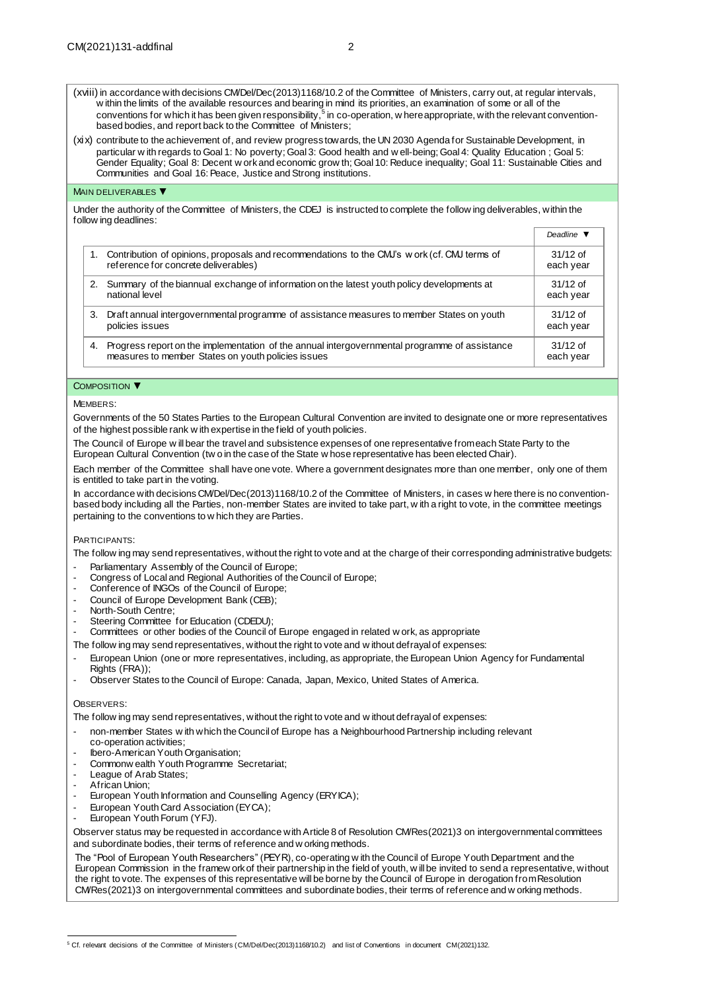(xviii) in accordance with decisions CM/Del/Dec(2013)1168/10.2 of the Committee of Ministers, carry out, at regular intervals, w ithin the limits of the available resources and bearing in mind its priorities, an examination of some or all of the conventions for which it has been given responsibility, $^5$  in co-operation, w here appropriate, with the relevant conventionbased bodies, and report back to the Committee of Ministers;

(xix) contribute to the achievement of, and review progress towards, the UN 2030 Agenda for Sustainable Development, in particular w ith regards to Goal 1: No poverty; Goal 3: Good health and w ell-being; Goal 4: Quality Education ; Goal 5: Gender Equality; Goal 8: Decent w ork and economic grow th; Goal 10: Reduce inequality; Goal 11: Sustainable Cities and Communities and Goal 16: Peace, Justice and Strong institutions.

## MAIN DELIVERABLES ▼

Under the authority of the Committee of Ministers, the CDEJ is instructed to complete the follow ing deliverables, within the follow ing deadlines:

|    |                                                                                                                                                     | <i>D</i> eaume v        |
|----|-----------------------------------------------------------------------------------------------------------------------------------------------------|-------------------------|
|    | Contribution of opinions, proposals and recommendations to the CMJ's work (cf. CMJ terms of<br>reference for concrete deliverables)                 | $31/12$ of<br>each year |
| 2. | Summary of the biannual exchange of information on the latest youth policy developments at<br>national level                                        | $31/12$ of<br>each year |
| 3. | Draft annual intergovernmental programme of assistance measures to member States on youth<br>policies issues                                        | $31/12$ of<br>each year |
| 4. | Progress report on the implementation of the annual intergovernmental programme of assistance<br>measures to member States on youth policies issues | $31/12$ of<br>each year |

*Deadline ▼*

### COMPOSITION ▼

MEMBERS:

Governments of the 50 States Parties to the European Cultural Convention are invited to designate one or more representatives of the highest possible rank w ith expertise in the field of youth policies.

The Council of Europe w ill bear the travel and subsistence expenses of one representative from each State Party to the European Cultural Convention (tw o in the case of the State w hose representative has been elected Chair).

Each member of the Committee shall have one vote. Where a government designates more than one member, only one of them is entitled to take part in the voting.

In accordance with decision[s CM/Del/Dec\(2013\)1168/10.2](https://search.coe.int/cm/Pages/result_details.aspx?Reference=CM/Del/Dec(2013)1168/10.2) of the Committee of Ministers, in cases w here there is no conventionbased body including all the Parties, non-member States are invited to take part, w ith a right to vote, in the committee meetings pertaining to the conventions to w hich they are Parties.

PARTICIPANTS:

The follow ing may send representatives, without the right to vote and at the charge of their corresponding administrative budgets:

- Parliamentary Assembly of the Council of Europe;
- Congress of Local and Regional Authorities of the Council of Europe;
- Conference of INGOs of the Council of Europe;
- Council of Europe Development Bank (CEB);
- North-South Centre;
- Steering Committee for Education (CDEDU);
- Committees or other bodies of the Council of Europe engaged in related w ork, as appropriate

The follow ing may send representatives, without the right to vote and w ithout defrayal of expenses:

- European Union (one or more representatives, including, as appropriate, the European Union Agency for Fundamental Rights (FRA));
- Observer States to the Council of Europe: Canada, Japan, Mexico, United States of America.

#### OBSERVERS:

The follow ing may send representatives, without the right to vote and w ithout defrayal of expenses:

- non-member States w ith which the Council of Europe has a Neighbourhood Partnership including relevant co-operation activities;
- lbero-American Youth Organisation;
- Commonw ealth Youth Programme Secretariat;
- League of Arab States;
- African Union;
- European Youth Information and Counselling Agency (ERYICA);
- European Youth Card Association (EYCA);
- European Youth Forum (YFJ).

Observer status may be requested in accordance with Article 8 of Resolution CM/Res(2021)3 on intergovernmental committees and subordinate bodies, their terms of reference and w orking methods.

The "Pool of European Youth Researchers" (PEYR), co-operating w ith the Council of Europe Youth Department and the European Commission in the framew ork of their partnership in the field of youth, w ill be invited to send a representative, without the right to vote. The expenses of this representative will be borne by the Council of Europe in derogation from Resolution CM/Res(2021)3 on intergovernmental committees and subordinate bodies, their terms of reference and w orking methods.

 <sup>5</sup> Cf. relevant decisions of the Committee of Ministers [\(CM/Del/Dec\(2013\)1168/10.2\)](https://search.coe.int/cm/Pages/result_details.aspx?Reference=CM/Del/Dec(2013)1168/10.2) and list of Conventions in document [CM\(2021\)132.](https://search.coe.int/cm/Pages/result_details.aspx?Reference=CM(2019)132)